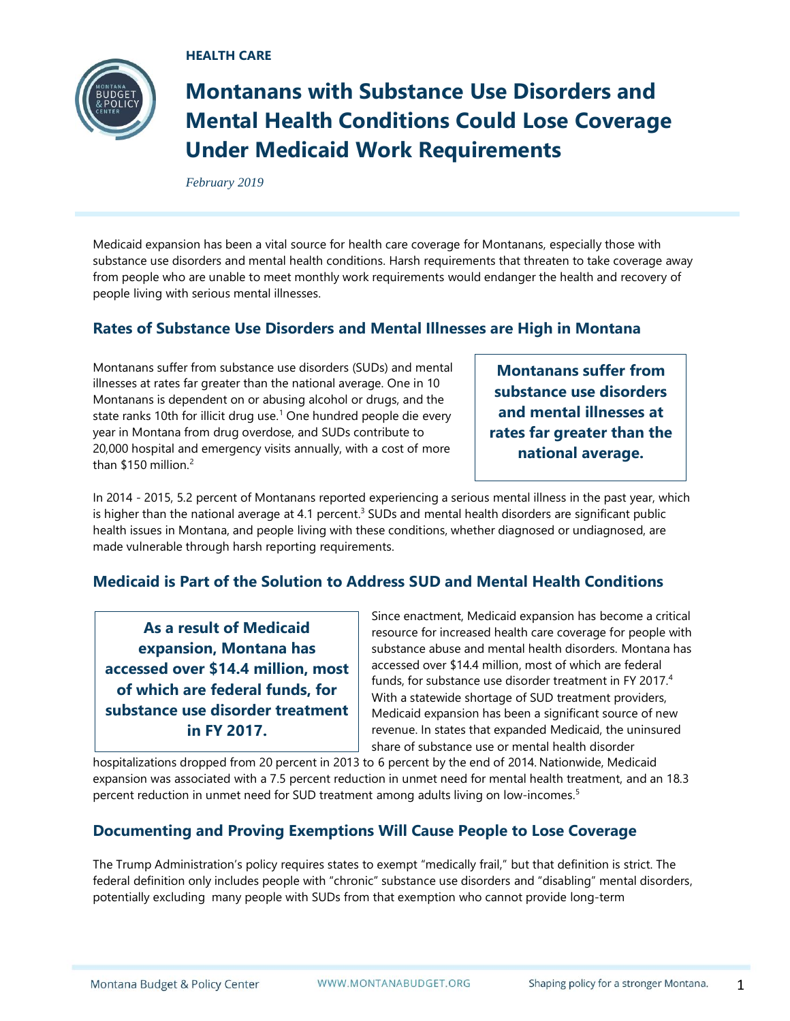**HEALTH CARE**



# **Montanans with Substance Use Disorders and Mental Health Conditions Could Lose Coverage Under Medicaid Work Requirements**

*February 2019*

Medicaid expansion has been a vital source for health care coverage for Montanans, especially those with substance use disorders and mental health conditions. Harsh requirements that threaten to take coverage away from people who are unable to meet monthly work requirements would endanger the health and recovery of people living with serious mental illnesses.

# **Rates of Substance Use Disorders and Mental Illnesses are High in Montana**

Montanans suffer from substance use disorders (SUDs) and mental illnesses at rates far greater than the national average. One in 10 Montanans is dependent on or abusing alcohol or drugs, and the state ranks 10th for illicit drug use.<sup>1</sup> One hundred people die every year in Montana from drug overdose, and SUDs contribute to 20,000 hospital and emergency visits annually, with a cost of more than  $$150$  million  $2$ 

**Montanans suffer from substance use disorders and mental illnesses at rates far greater than the national average.** 

In 2014 - 2015, 5.2 percent of Montanans reported experiencing a serious mental illness in the past year, which is higher than the national average at 4.1 percent.<sup>3</sup> SUDs and mental health disorders are significant public health issues in Montana, and people living with these conditions, whether diagnosed or undiagnosed, are made vulnerable through harsh reporting requirements.

# **Medicaid is Part of the Solution to Address SUD and Mental Health Conditions**

**As a result of Medicaid expansion, Montana has accessed over \$14.4 million, most of which are federal funds, for substance use disorder treatment in FY 2017.**

Since enactment, Medicaid expansion has become a critical resource for increased health care coverage for people with substance abuse and mental health disorders. Montana has accessed over \$14.4 million, most of which are federal funds, for substance use disorder treatment in FY 2017.<sup>4</sup> With a statewide shortage of SUD treatment providers, Medicaid expansion has been a significant source of new revenue. In states that expanded Medicaid, the uninsured share of substance use or mental health disorder

hospitalizations dropped from 20 percent in 2013 to 6 percent by the end of 2014. Nationwide, Medicaid expansion was associated with a 7.5 percent reduction in unmet need for mental health treatment, and an 18.3 percent reduction in unmet need for SUD treatment among adults living on low-incomes. 5

## **Documenting and Proving Exemptions Will Cause People to Lose Coverage**

The Trump Administration's policy requires states to exempt "medically frail," but that definition is strict. The federal definition only includes people with "chronic" substance use disorders and "disabling" mental disorders, potentially excluding many people with SUDs from that exemption who cannot provide long-term